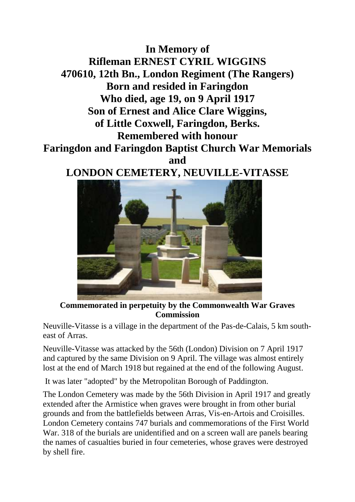## **In Memory of Rifleman ERNEST CYRIL WIGGINS 470610, 12th Bn., London Regiment (The Rangers) Born and resided in Faringdon Who died, age 19, on 9 April 1917 Son of Ernest and Alice Clare Wiggins, of Little Coxwell, Faringdon, Berks. Remembered with honour Faringdon and Faringdon Baptist Church War Memorials and LONDON CEMETERY, NEUVILLE-VITASSE**



**Commemorated in perpetuity by the Commonwealth War Graves Commission** 

Neuville-Vitasse is a village in the department of the Pas-de-Calais, 5 km southeast of Arras.

Neuville-Vitasse was attacked by the 56th (London) Division on 7 April 1917 and captured by the same Division on 9 April. The village was almost entirely lost at the end of March 1918 but regained at the end of the following August.

It was later "adopted" by the Metropolitan Borough of Paddington.

The London Cemetery was made by the 56th Division in April 1917 and greatly extended after the Armistice when graves were brought in from other burial grounds and from the battlefields between Arras, Vis-en-Artois and Croisilles. London Cemetery contains 747 burials and commemorations of the First World War. 318 of the burials are unidentified and on a screen wall are panels bearing the names of casualties buried in four cemeteries, whose graves were destroyed by shell fire.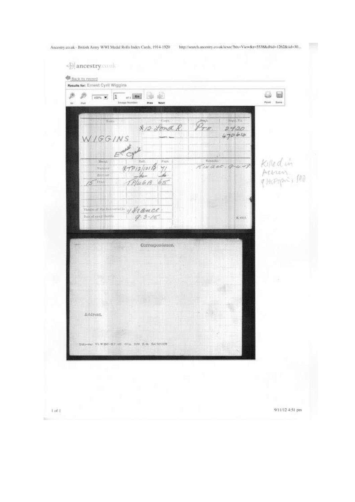9/11/12 4:51 pm

| B<br>B<br>蛔<br>$\overline{1}$<br>s.<br>012<br>$100\%$ $\blacktriangleright$<br>Timage Number<br>Prev<br>in.<br><b>Dut</b><br><b>Next</b>                                                            |                                                                                                       | ₩<br><b>Print</b><br>Sayna |
|-----------------------------------------------------------------------------------------------------------------------------------------------------------------------------------------------------|-------------------------------------------------------------------------------------------------------|----------------------------|
| Einth.<br>Num-<br>*12 Lond R.<br>WIGGINS<br>Emald<br>$x + p_1 = p_0$<br>Nepst.<br>Paps.<br><b>Taimmt</b><br><b>Birmine</b><br>5                                                                     | BertL Na<br>$\widehat{\varphi}_{\tau \varepsilon}$<br>2420<br>470610<br><b>Bemach-</b><br>RINQ6C.9444 | Killed in                  |
| $\overbrace{\liminf_{n\to\infty}\limsup_{n\to\infty}\limsup_{n\to\infty}}^{\text{Uniform}(n)}\mathscr{D}^{\text{H}}\mathscr{Q}\text{-}\mathscr{B}\text{-}\mathscr{C}\mathscr{C}$<br>Correspondence. | K isco.                                                                                               |                            |
| Address.                                                                                                                                                                                            |                                                                                                       |                            |
| SHAWAHA WE'W BOWER HELL WIN BUILT SA SINCE                                                                                                                                                          |                                                                                                       |                            |

 $1$  of  $\ensuremath{\mathbb{T}}$ 

bit-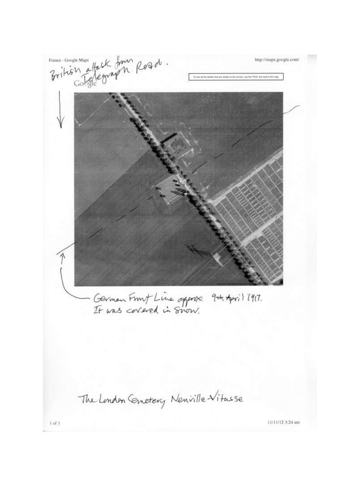France-Google Maps<br>British attack from Road. **Contract** http://maps.google.com/ HAS IT IN UNIV. He the YEW DA Hel to the mail German Front Line opposes. 9th April 1917.<br>It was correred in Snow. The London Cemetery Newville Vitasse 11/11/12 3:24 am  $1$  of  $1$